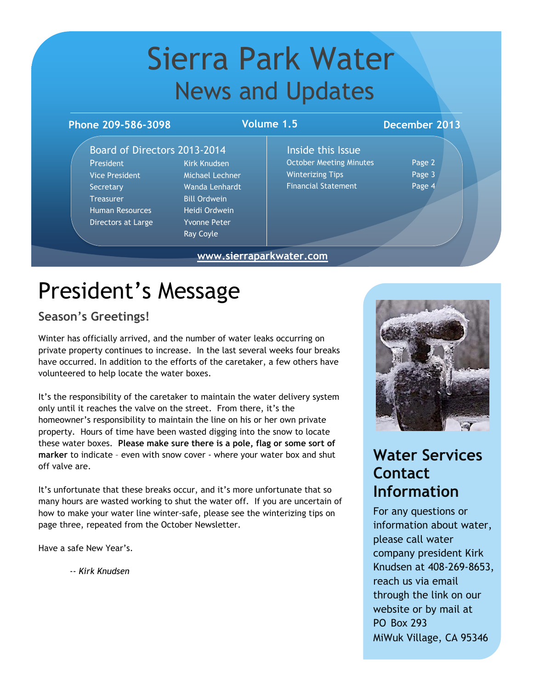## Sierra Park Water News and Updates

### **Phone 209-586-3098 December 2013**

### **Volume 1.5**

**www.sierraparkwater.com**

### Board of Directors 2013-2014

President Kirk Knudsen Vice President Michael Lechner Secretary Wanda Lenhardt Treasurer Bill Ordwein Human Resources Heidi Ordwein Directors at Large Yvonne Peter

Ray Coyle

Inside this Issue October Meeting Minutes Page 2 Winterizing Tips **Page 3** Financial Statement Page 4

# President's Message

### **Season's Greetings!**

Winter has officially arrived, and the number of water leaks occurring on private property continues to increase. In the last several weeks four breaks have occurred. In addition to the efforts of the caretaker, a few others have volunteered to help locate the water boxes.

It's the responsibility of the caretaker to maintain the water delivery system only until it reaches the valve on the street. From there, it's the homeowner's responsibility to maintain the line on his or her own private property. Hours of time have been wasted digging into the snow to locate these water boxes. **Please make sure there is a pole, flag or some sort of marker** to indicate – even with snow cover - where your water box and shut off valve are.

It's unfortunate that these breaks occur, and it's more unfortunate that so many hours are wasted working to shut the water off. If you are uncertain of how to make your water line winter-safe, please see the winterizing tips on page three, repeated from the October Newsletter.

Have a safe New Year's.

-- *Kirk Knudsen*



## **Water Services Contact Information**

For any questions or information about water, please call water company president Kirk Knudsen at 408-269-8653, reach us via email through the link on our website or by mail at PO Box 293 MiWuk Village, CA 95346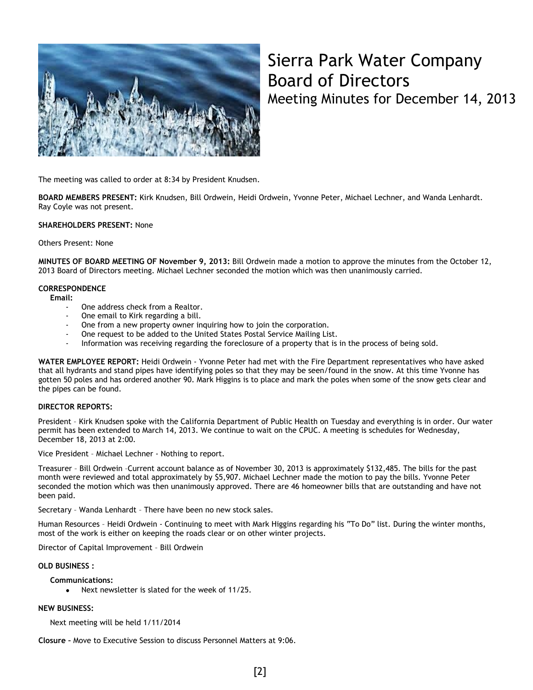

## Sierra Park Water Company Board of Directors Meeting Minutes for December 14, 2013

The meeting was called to order at 8:34 by President Knudsen.

**BOARD MEMBERS PRESENT:** Kirk Knudsen, Bill Ordwein, Heidi Ordwein, Yvonne Peter, Michael Lechner, and Wanda Lenhardt. Ray Coyle was not present.

#### **SHAREHOLDERS PRESENT:** None

#### Others Present: None

**MINUTES OF BOARD MEETING OF November 9, 2013:** Bill Ordwein made a motion to approve the minutes from the October 12, 2013 Board of Directors meeting. Michael Lechner seconded the motion which was then unanimously carried.

### **CORRESPONDENCE**

**Email:** 

- One address check from a Realtor.
- One email to Kirk regarding a bill.
- One from a new property owner inquiring how to join the corporation.
- One request to be added to the United States Postal Service Mailing List.
- Information was receiving regarding the foreclosure of a property that is in the process of being sold.

**WATER EMPLOYEE REPORT:** Heidi Ordwein - Yvonne Peter had met with the Fire Department representatives who have asked that all hydrants and stand pipes have identifying poles so that they may be seen/found in the snow. At this time Yvonne has gotten 50 poles and has ordered another 90. Mark Higgins is to place and mark the poles when some of the snow gets clear and the pipes can be found.

#### **DIRECTOR REPORTS:**

President – Kirk Knudsen spoke with the California Department of Public Health on Tuesday and everything is in order. Our water permit has been extended to March 14, 2013. We continue to wait on the CPUC. A meeting is schedules for Wednesday, December 18, 2013 at 2:00.

Vice President – Michael Lechner - Nothing to report.

Treasurer – Bill Ordwein –Current account balance as of November 30, 2013 is approximately \$132,485. The bills for the past month were reviewed and total approximately by \$5,907. Michael Lechner made the motion to pay the bills. Yvonne Peter seconded the motion which was then unanimously approved. There are 46 homeowner bills that are outstanding and have not been paid.

Secretary – Wanda Lenhardt – There have been no new stock sales.

Human Resources – Heidi Ordwein - Continuing to meet with Mark Higgins regarding his "To Do" list. During the winter months, most of the work is either on keeping the roads clear or on other winter projects.

Director of Capital Improvement – Bill Ordwein

**OLD BUSINESS :**

**Communications:**

Next newsletter is slated for the week of 11/25.  $\bullet$ 

### **NEW BUSINESS:**

Next meeting will be held 1/11/2014

**Closure –** Move to Executive Session to discuss Personnel Matters at 9:06.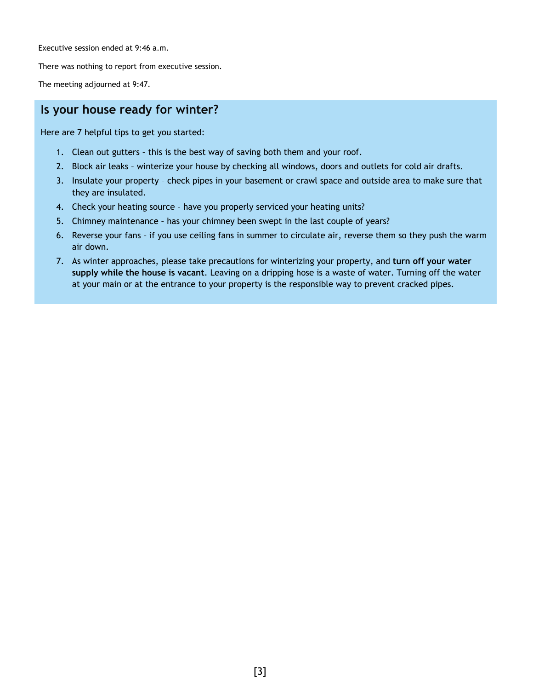Executive session ended at 9:46 a.m.

There was nothing to report from executive session.

The meeting adjourned at 9:47.

### **Is your house ready for winter?**

Here are 7 helpful tips to get you started:

- 1. Clean out gutters this is the best way of saving both them and your roof.
- 2. Block air leaks winterize your house by checking all windows, doors and outlets for cold air drafts.
- 3. Insulate your property check pipes in your basement or crawl space and outside area to make sure that they are insulated.
- 4. Check your heating source have you properly serviced your heating units?
- 5. Chimney maintenance has your chimney been swept in the last couple of years?
- 6. Reverse your fans if you use ceiling fans in summer to circulate air, reverse them so they push the warm air down.
- 7. As winter approaches, please take precautions for winterizing your property, and **turn off your water supply while the house is vacant**. Leaving on a dripping hose is a waste of water. Turning off the water at your main or at the entrance to your property is the responsible way to prevent cracked pipes.